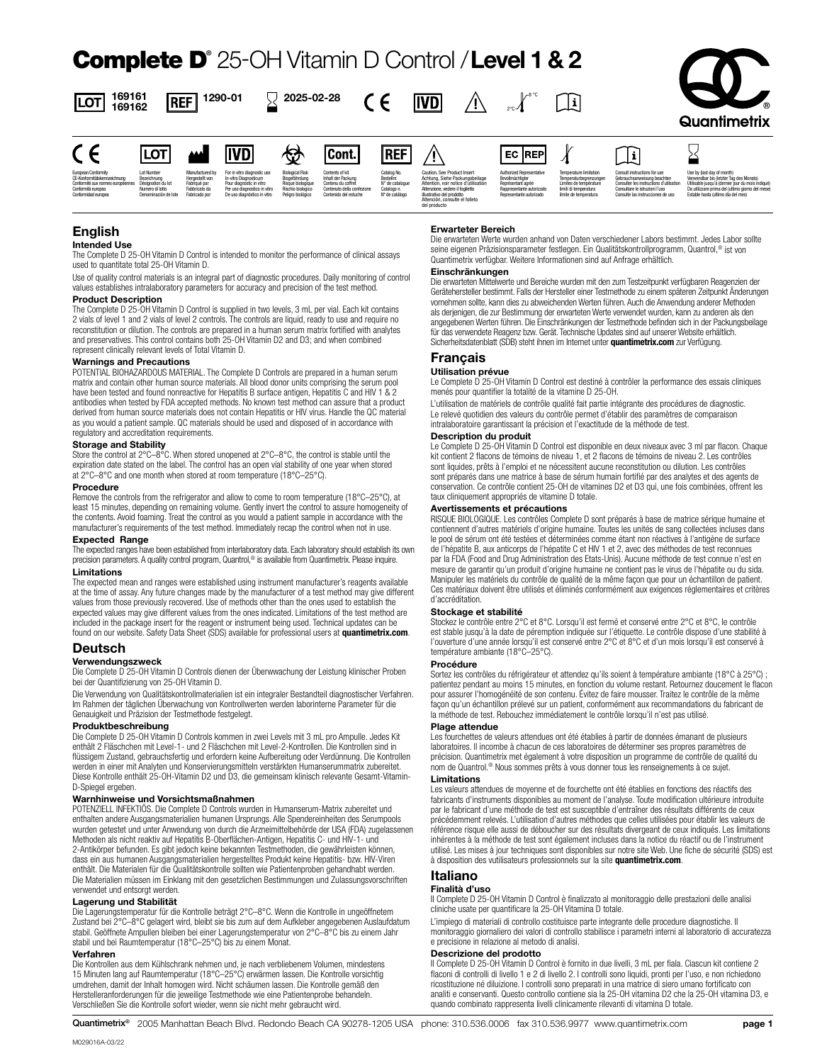# Complete D**®** 25-OH Vitamin D Control / **Level 1 & 2**



|                                                                                                                                                          | ·⊾∨·                                                                 |                                                                                      | 11 V L/ 1                                                                                                                                      | W.                                                                                                     | ו טטונ                                                                                                             | .                                                                            |                                                                                                                                                                                                                         | ----                                                                                                                          |                                                                                                                                     | л.                                                                                                                                                                            |                                                                                                                                                                                                                      |
|----------------------------------------------------------------------------------------------------------------------------------------------------------|----------------------------------------------------------------------|--------------------------------------------------------------------------------------|------------------------------------------------------------------------------------------------------------------------------------------------|--------------------------------------------------------------------------------------------------------|--------------------------------------------------------------------------------------------------------------------|------------------------------------------------------------------------------|-------------------------------------------------------------------------------------------------------------------------------------------------------------------------------------------------------------------------|-------------------------------------------------------------------------------------------------------------------------------|-------------------------------------------------------------------------------------------------------------------------------------|-------------------------------------------------------------------------------------------------------------------------------------------------------------------------------|----------------------------------------------------------------------------------------------------------------------------------------------------------------------------------------------------------------------|
| European Conformity<br>CE-Konformitätskennzeichnung<br>Conformité aux normes européennes Désignation du lot<br>Conformità europea<br>Conformidad europea | Lot Number<br>Bezeichnung<br>Numero di lotto<br>Denominación de lote | Manufactured by<br>Heroestellt von<br>Fabrioué par<br>Fabbricato da<br>Fabricado por | For in vitro diagnostic use<br>In-vitro Diagnosticum<br>Pour diagnostic in vitro<br>Per uso diagnostico in vitr<br>De uso diagnóstico in vitro | <b>Biological Risk</b><br>Biogefährdung<br>Risque biologique<br>Rischio biologico<br>Peligro biológico | Contents of kit<br>Inhalt der Packung<br>Contenu du coffret<br>Contenuto della confezione<br>Contenido del estuche | Cataloo No<br>Bestelling<br>N° de catalogue<br>Catalogo n.<br>Nº de catálogo | Caution, See Product Insert<br>Achtung, Siehe Packungsbeilage<br>Attention, voir notice d'utilisation<br>Attenzione, vedere il foglietto<br>illustrativo del prodotto<br>Attención, consulte el folleto<br>del producto | Authorized Representative<br>Bevollmächtigter<br>Reorésentant agréé<br>Rappresentante autorizzati<br>Representante autorizado | <b>Temperature limitation</b><br>Temperaturbegrenzungen<br>Limites de température<br>limiti di temperatura<br>limite de temperatura | Consult instructions for use<br>Gebrauchsanweisung beachten<br>Consulter les instructions d'utilsation<br>Consultare le istruzioni l'uso<br>Consulte las instrucciones de uso | Use by (last day of month)<br>Verwendbar bis (letzter Tag des Monats)<br>Utilisable jusqu'à (dernier jour du mois indiqué)<br>Da utilizzare prima del (ultimo giorno del mese)<br>Estable hasta (ultimo día del mes) |

# **English**

LOT

 $\epsilon$ 

**Intended Use**

The Complete D 25-OH Vitamin D Control is intended to monitor the performance of clinical assays used to quantitate total 25-OH Vitamin D.

**IMN** 

Use of quality control materials is an integral part of diagnostic procedures. Daily monitoring of control values establishes intralaboratory parameters for accuracy and precision of the test method.

#### **Product Description**

**169161 169162** **REF** 

 $\ldots$  .

 $\sqrt{10}$ 

The Complete D 25-OH Vitamin D Control is supplied in two levels, 3 mL per vial. Each kit contains 2 vials of level 1 and 2 vials of level 2 controls. The controls are liquid, ready to use and require no reconstitution or dilution. The controls are prepared in a human serum matrix fortified with analytes and preservatives. This control contains both 25-OH Vitamin D2 and D3; and when combined represent clinically relevant levels of Total Vitamin D.

#### **Warnings and Precautions**

POTENTIAL BIOHAZARDOUS MATERIAL. The Complete D Controls are prepared in a human serum matrix and contain other human source materials. All blood donor units comprising the serum pool have been tested and found nonreactive for Hepatitis B surface antigen, Hepatitis C and HIV 1 & 2 antibodies when tested by FDA accepted methods. No known test method can assure that a product derived from human source materials does not contain Hepatitis or HIV virus. Handle the QC material as you would a patient sample. QC materials should be used and disposed of in accordance with regulatory and accreditation requirements.

# **Storage and Stability**

Store the control at 2°C–8°C. When stored unopened at 2°C–8°C, the control is stable until the expiration date stated on the label. The control has an open vial stability of one year when stored at 2°C–8°C and one month when stored at room temperature (18°C–25°C).

#### **Procedure**

Remove the controls from the refrigerator and allow to come to room temperature (18°C–25°C), at least 15 minutes, depending on remaining volume. Gently invert the control to assure homogeneity of the contents. Avoid foaming. Treat the control as you would a patient sample in accordance with the manufacturer's requirements of the test method. Immediately recap the control when not in use.

### **Expected Range**

The expected ranges have been established from interlaboratory data. Each laboratory should establish its own precision parameters. A quality control program, Quantrol,<sup>®</sup> is available from Quantimetrix. Please inquire.

#### **Limitations**

The expected mean and ranges were established using instrument manufacturer's reagents available at the time of assay. Any future changes made by the manufacturer of a test method may give different values from those previously recovered. Use of methods other than the ones used to establish the expected values may give different values from the ones indicated. Limitations of the test method are included in the package insert for the reagent or instrument being used. Technical updates can be found on our website. Safety Data Sheet (SDS) available for professional users at **quantimetrix.com**.

## **Deutsch**

#### **Verwendungszweck**

Die Complete D 25-OH Vitamin D Controls dienen der Überwwachung der Leistung klinischer Proben bei der Quantifizierung von 25-OH Vitamin D.

Die Verwendung von Qualitätskontrollmaterialien ist ein integraler Bestandteil diagnostischer Verfahren. Im Rahmen der täglichen Überwachung von Kontrollwerten werden laborinterne Parameter für die Genauigkeit und Präzision der Testmethode festgelegt.

#### **Produktbeschreibung**

Die Complete D 25-OH Vitamin D Controls kommen in zwei Levels mit 3 mL pro Ampulle. Jedes Kit enthält 2 Fläschchen mit Level-1- und 2 Fläschchen mit Level-2-Kontrollen. Die Kontrollen sind in flüssigem Zustand, gebrauchsfertig und erfordern keine Aufbereitung oder Verdünnung. Die Kontrollen werden in einer mit Analyten und Konservierungsmitteln verstärkten Humanserummatrix zubereitet. Diese Kontrolle enthält 25-OH-Vitamin D2 und D3, die gemeinsam klinisch relevante Gesamt-Vitamin-D-Spiegel ergeben.

#### **Warnhinweise und Vorsichtsmaßnahmen**

POTENZIELL INFEKTIÖS. Die Complete D Controls wurden in Humanserum-Matrix zubereitet und enthalten andere Ausgangsmaterialien humanen Ursprungs. Alle Spendereinheiten des Serumpools wurden getestet und unter Anwendung von durch die Arzneimittelbehörde der USA (FDA) zugelassenen Methoden als nicht reaktiv auf Hepatitis B-Oberflächen-Antigen, Hepatitis C- und HIV-1- und 2-Antikörper befunden. Es gibt jedoch keine bekannten Testmethoden, die gewährleisten können, dass ein aus humanen Ausgangsmaterialien hergestelltes Produkt keine Hepatitis- bzw. HIV-Viren enthält. Die Materialen für die Qualitätskontrolle sollten wie Patientenproben gehandhabt werden. Die Materialien müssen im Einklang mit den gesetzlichen Bestimmungen und Zulassungsvorschriften verwendet und entsorgt werden.

# **Lagerung und Stabilität**

Die Lagerungstemperatur für die Kontrolle beträgt 2°C–8°C. Wenn die Kontrolle in ungeöffnetem Zustand bei 2°C–8°C gelagert wird, bleibt sie bis zum auf dem Aufkleber angegebenen Auslaufdatum stabil. Geöffnete Ampullen bleiben bei einer Lagerungstemperatur von 2°C–8°C bis zu einem Jahr stabil und bei Raumtemperatur (18°C–25°C) bis zu einem Monat.

#### **Verfahren**

M029016A-03/22

Die Kontrollen aus dem Kühlschrank nehmen und, je nach verbliebenem Volumen, mindestens 15 Minuten lang auf Raumtemperatur (18°C–25°C) erwärmen lassen. Die Kontrolle vorsichtig umdrehen, damit der Inhalt homogen wird. Nicht schäumen lassen. Die Kontrolle gemäß den Herstelleranforderungen für die jeweilige Testmethode wie eine Patientenprobe behandeln. Verschließen Sie die Kontrolle sofort wieder, wenn sie nicht mehr gebraucht wird.

#### **Erwarteter Bereich**

Die erwarteten Werte wurden anhand von Daten verschiedener Labors bestimmt. Jedes Labor sollte seine eigenen Präzisionsparameter festlegen. Ein Qualitätskontrollprogramm, Quantrol,® ist von Quantimetrix verfügbar. Weitere Informationen sind auf Anfrage erhältlich.

### **Einschränkungen**

Die erwarteten Mittelwerte und Bereiche wurden mit den zum Testzeitpunkt verfügbaren Reagenzien der Gerätehersteller bestimmt. Falls der Hersteller einer Testmethode zu einem späteren Zeitpunkt Änderungen vornehmen sollte, kann dies zu abweichenden Werten führen. Auch die Anwendung anderer Methoden als derjenigen, die zur Bestimmung der erwarteten Werte verwendet wurden, kann zu anderen als den angegebenen Werten führen. Die Einschränkungen der Testmethode befinden sich in der Packungsbeilage für das verwendete Reagenz bzw. Gerät. Technische Updates sind auf unserer Website erhältlich. Sicherheitsdatenblatt (SDB) steht ihnen im Internet unter **quantimetrix.com** zur Verfügung.

# **Français**

#### **Utilisation prévue**

Le Complete D 25-OH Vitamin D Control est destiné à contrôler la performance des essais cliniques menés pour quantifier la totalité de la vitamine D 25-OH.

L'utilisation de matériels de contrôle qualité fait partie intégrante des procédures de diagnostic. Le relevé quotidien des valeurs du contrôle permet d'établir des paramètres de comparaison intralaboratoire garantissant la précision et l'exactitude de la méthode de test.

#### **Description du produit**

Le Complete D 25-OH Vitamin D Control est disponible en deux niveaux avec 3 ml par flacon. Chaque kit contient 2 flacons de témoins de niveau 1, et 2 flacons de témoins de niveau 2. Les contrôles sont liquides, prêts à l'emploi et ne nécessitent aucune reconstitution ou dilution. Les contrôles sont préparés dans une matrice à base de sérum humain fortifié par des analytes et des agents de conservation. Ce contrôle contient 25-OH de vitamines D2 et D3 qui, une fois combinées, offrent les taux cliniquement appropriés de vitamine D totale.

#### **Avertissements et précautions**

RISQUE BIOLOGIQUE. Les contrôles Complete D sont préparés à base de matrice sérique humaine et contiennent d'autres matériels d'origine humaine. Toutes les unités de sang collectées incluses dans le pool de sérum ont été testées et déterminées comme étant non réactives à l'antigène de surface de l'hépatite B, aux anticorps de l'hépatite C et HIV 1 et 2, avec des méthodes de test reconnues par la FDA (Food and Drug Administration des Etats-Unis). Aucune méthode de test connue n'est en mesure de garantir qu'un produit d'origine humaine ne contient pas le virus de l'hépatite ou du sida. Manipuler les matériels du contrôle de qualité de la même façon que pour un échantillon de patient. Ces matériaux doivent être utilisés et éliminés conformément aux exigences réglementaires et critères d'accréditation.

#### **Stockage et stabilité**

Stockez le contrôle entre 2°C et 8°C. Lorsqu'il est fermé et conservé entre 2°C et 8°C, le contrôle est stable jusqu'à la date de péremption indiquée sur l'étiquette. Le contrôle dispose d'une stabilité à l'ouverture d'une année lorsqu'il est conservé entre 2°C et 8°C et d'un mois lorsqu'il est conservé à température ambiante (18°C–25°C).

#### **Procédure**

Sortez les contrôles du réfrigérateur et attendez qu'ils soient à température ambiante (18°C à 25°C) ; patientez pendant au moins 15 minutes, en fonction du volume restant. Retournez doucement le flacon pour assurer l'homogénéité de son contenu. Évitez de faire mousser. Traitez le contrôle de la même façon qu'un échantillon prélevé sur un patient, conformément aux recommandations du fabricant de la méthode de test. Rebouchez immédiatement le contrôle lorsqu'il n'est pas utilisé.

#### **Plage attendue**

Les fourchettes de valeurs attendues ont été établies à partir de données émanant de plusieurs laboratoires. Il incombe à chacun de ces laboratoires de déterminer ses propres paramètres de précision. Quantimetrix met également à votre disposition un programme de contrôle de qualité du nom de Quantrol.® Nous sommes prêts à vous donner tous les renseignements à ce sujet.

#### **Limitations**

Les valeurs attendues de moyenne et de fourchette ont été établies en fonctions des réactifs des fabricants d'instruments disponibles au moment de l'analyse. Toute modification ultérieure introduite par le fabricant d'une méthode de test est susceptible d'entraîner des résultats différents de ceux précédemment relevés. L'utilisation d'autres méthodes que celles utilisées pour établir les valeurs de référence risque elle aussi de déboucher sur des résultats divergeant de ceux indiqués. Les limitations inhérentes à la méthode de test sont également incluses dans la notice du réactif ou de l'instrument utilisé. Les mises à jour techniques sont disponibles sur notre site Web. Une fiche de sécurité (SDS) est à disposition des vutilisateurs professionnels sur la site **quantimetrix.com**.

# **Italiano**

### **Finalità d'uso**

Il Complete D 25-OH Vitamin D Control è finalizzato al monitoraggio delle prestazioni delle analisi cliniche usate per quantificare la 25-OH Vitamina D totale.

L'impiego di materiali di controllo costituisce parte integrante delle procedure diagnostiche. Il monitoraggio giornaliero dei valori di controllo stabilisce i parametri interni al laboratorio di accuratezza e precisione in relazione al metodo di analisi.

#### **Descrizione del prodotto**

Il Complete D 25-OH Vitamin D Control è fornito in due livelli, 3 mL per fiala. Ciascun kit contiene 2 flaconi di controlli di livello 1 e 2 di livello 2. I controlli sono liquidi, pronti per l'uso, e non richiedono ricostituzione né diluizione. I controlli sono preparati in una matrice di siero umano fortificato con analiti e conservanti. Questo controllo contiene sia la 25-OH vitamina D2 che la 25-OH vitamina D3, e quando combinato rappresenta livelli clinicamente rilevanti di vitamina D totale.